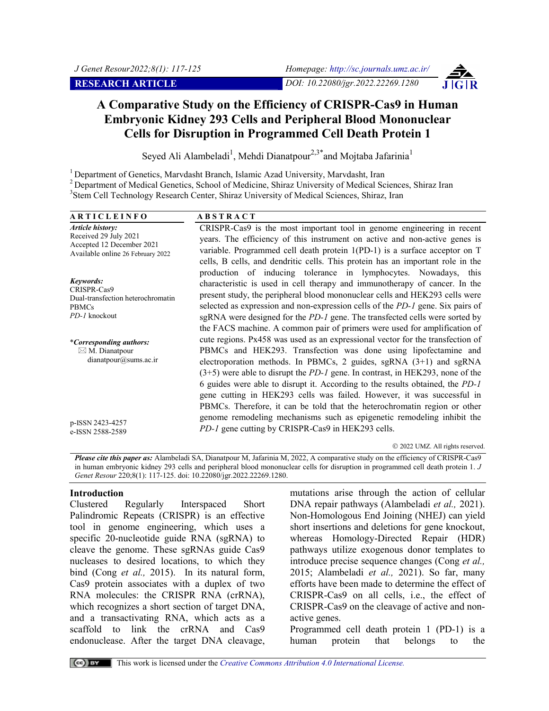

# **A Comparative Study on the Efficiency of CRISPR-Cas9 in Human Embryonic Kidney 293 Cells and Peripheral Blood Mononuclear Cells for Disruption in Programmed Cell Death Protein 1**

Seyed Ali Alambeladi<sup>1</sup>, Mehdi Dianatpour<sup>2,3\*</sup> and Mojtaba Jafarinia<sup>1</sup>

<sup>1</sup> Department of Genetics, Marvdasht Branch, Islamic Azad University, Marvdasht, Iran <sup>2</sup> Department of Medical Genetics, School of Medicine, Shiraz University of Medical Sciences, Shiraz Iran <sup>3</sup>Stem Cell Technology Research Center, Shiraz University of Medical Sciences, Shiraz, Iran

| <b>ARTICLEINFO</b>                                                                                                 | <b>ABSTRACT</b>                                                                                                                                                                                                                                                                                                                                                                                                                                                                   |
|--------------------------------------------------------------------------------------------------------------------|-----------------------------------------------------------------------------------------------------------------------------------------------------------------------------------------------------------------------------------------------------------------------------------------------------------------------------------------------------------------------------------------------------------------------------------------------------------------------------------|
| <b>Article history:</b><br>Received 29 July 2021<br>Accepted 12 December 2021<br>Available online 26 February 2022 | CRISPR-Cas9 is the most important tool in genome engineering in recent<br>years. The efficiency of this instrument on active and non-active genes is<br>variable. Programmed cell death protein 1(PD-1) is a surface acceptor on T<br>cells, B cells, and dendritic cells. This protein has an important role in the                                                                                                                                                              |
| Keywords:<br>CRISPR-Cas9<br>Dual-transfection heterochromatin<br><b>PBMCs</b><br>PD-1 knockout                     | production of inducing tolerance in lymphocytes. Nowadays, this<br>characteristic is used in cell therapy and immunotherapy of cancer. In the<br>present study, the peripheral blood mononuclear cells and HEK293 cells were<br>selected as expression and non-expression cells of the PD-1 gene. Six pairs of<br>sgRNA were designed for the <i>PD-1</i> gene. The transfected cells were sorted by                                                                              |
| <i>*Corresponding authors:</i><br>$\boxtimes$ M. Dianatpour<br>dianatpour@sums.ac.ir                               | the FACS machine. A common pair of primers were used for amplification of<br>cute regions. Px458 was used as an expressional vector for the transfection of<br>PBMCs and HEK293. Transfection was done using lipofectamine and<br>electroporation methods. In PBMCs, 2 guides, sgRNA $(3+1)$ and sgRNA<br>$(3+5)$ were able to disrupt the <i>PD-1</i> gene. In contrast, in HEK293, none of the<br>6 guides were able to disrupt it. According to the results obtained, the PD-1 |
| p-ISSN 2423-4257<br>e-ISSN 2588-2589                                                                               | gene cutting in HEK293 cells was failed. However, it was successful in<br>PBMCs. Therefore, it can be told that the heterochromatin region or other<br>genome remodeling mechanisms such as epigenetic remodeling inhibit the<br><i>PD-1</i> gene cutting by CRISPR-Cas9 in HEK293 cells.                                                                                                                                                                                         |

2022 UMZ. All rights reserved.

*Please cite this paper as:* Alambeladi SA, Dianatpour M, Jafarinia M, 2022, A comparative study on the efficiency of CRISPR-Cas9 in human embryonic kidney 293 cells and peripheral blood mononuclear cells for disruption in programmed cell death protein 1. *J Genet Resour* 220;8(1): 117-125. doi: 10.22080/jgr.2022.22269.1280.

#### **Introduction**

Clustered Regularly Interspaced Short Palindromic Repeats (CRISPR) is an effective tool in genome engineering, which uses a specific 20-nucleotide guide RNA (sgRNA) to cleave the genome. These sgRNAs guide Cas9 nucleases to desired locations, to which they bind (Cong *et al.,* 2015). In its natural form, Cas9 protein associates with a duplex of two RNA molecules: the CRISPR RNA (crRNA), which recognizes a short section of target DNA, and a transactivating RNA, which acts as a scaffold to link the crRNA and Cas9 endonuclease. After the target DNA cleavage,

mutations arise through the action of cellular DNA repair pathways (Alambeladi *et al.,* 2021). Non-Homologous End Joining (NHEJ) can yield short insertions and deletions for gene knockout, whereas Homology-Directed Repair (HDR) pathways utilize exogenous donor templates to introduce precise sequence changes (Cong *et al.,* 2015; Alambeladi *et al.,* 2021). So far, many efforts have been made to determine the effect of CRISPR-Cas9 on all cells, i.e., the effect of CRISPR-Cas9 on the cleavage of active and nonactive genes.

Programmed cell death protein 1 (PD-1) is a human protein that belongs to the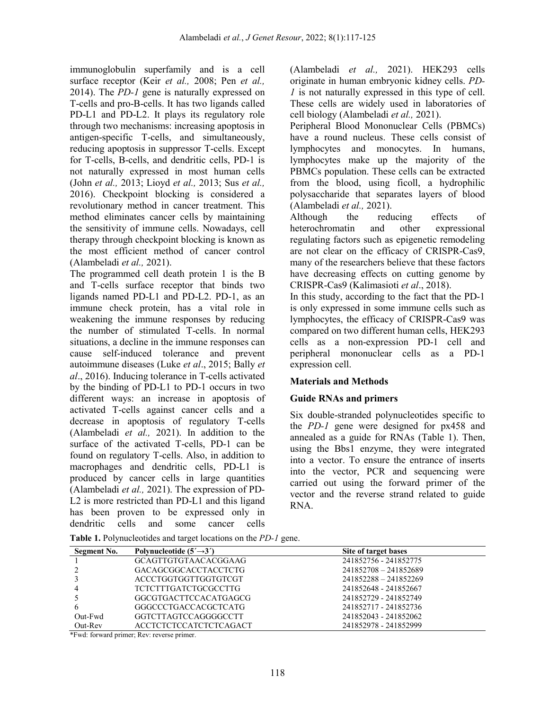immunoglobulin superfamily and is a cell surface receptor (Keir *et al.,* 2008; Pen *et al.,* 2014). The *PD-1* gene is naturally expressed on T-cells and pro-B-cells. It has two ligands called PD-L1 and PD-L2. It plays its regulatory role through two mechanisms: increasing apoptosis in antigen-specific T-cells, and simultaneously, reducing apoptosis in suppressor T-cells. Except for T-cells, B-cells, and dendritic cells, PD-1 is not naturally expressed in most human cells (John *et al.,* 2013; Lioyd *et al.,* 2013; Sus *et al.,*  2016). Checkpoint blocking is considered a revolutionary method in cancer treatment. This method eliminates cancer cells by maintaining the sensitivity of immune cells. Nowadays, cell therapy through checkpoint blocking is known as the most efficient method of cancer control (Alambeladi *et al.,* 2021).

The programmed cell death protein 1 is the B and T-cells surface receptor that binds two ligands named PD-L1 and PD-L2. PD-1, as an immune check protein, has a vital role in weakening the immune responses by reducing the number of stimulated T-cells. In normal situations, a decline in the immune responses can cause self-induced tolerance and prevent autoimmune diseases (Luke *et al*., 2015; Bally *et al*., 2016). Inducing tolerance in T-cells activated by the binding of PD-L1 to PD-1 occurs in two different ways: an increase in apoptosis of activated T-cells against cancer cells and a decrease in apoptosis of regulatory T-cells (Alambeladi *et al.,* 2021). In addition to the surface of the activated T-cells, PD-1 can be found on regulatory T-cells. Also, in addition to macrophages and dendritic cells, PD-L1 is produced by cancer cells in large quantities (Alambeladi *et al.,* 2021). The expression of PD-L2 is more restricted than PD-L1 and this ligand has been proven to be expressed only in dendritic cells and some cancer cells

(Alambeladi *et al.,* 2021). HEK293 cells originate in human embryonic kidney cells. *PD-1* is not naturally expressed in this type of cell. These cells are widely used in laboratories of cell biology (Alambeladi *et al.,* 2021).

Peripheral Blood Mononuclear Cells (PBMCs) have a round nucleus. These cells consist of lymphocytes and monocytes. In humans, lymphocytes make up the majority of the PBMCs population. These cells can be extracted from the blood, using ficoll, a hydrophilic polysaccharide that separates layers of blood (Alambeladi *et al.,* 2021).

Although the reducing effects of heterochromatin and other expressional regulating factors such as epigenetic remodeling are not clear on the efficacy of CRISPR-Cas9, many of the researchers believe that these factors have decreasing effects on cutting genome by CRISPR-Cas9 (Kalimasioti *et al*., 2018).

In this study, according to the fact that the PD-1 is only expressed in some immune cells such as lymphocytes, the efficacy of CRISPR-Cas9 was compared on two different human cells, HEK293 cells as a non-expression PD-1 cell and peripheral mononuclear cells as a PD-1 expression cell.

## **Materials and Methods**

## **Guide RNAs and primers**

Six double-stranded polynucleotides specific to the *PD-1* gene were designed for px458 and annealed as a guide for RNAs (Table 1). Then, using the Bbs1 enzyme, they were integrated into a vector. To ensure the entrance of inserts into the vector, PCR and sequencing were carried out using the forward primer of the vector and the reverse strand related to guide RNA.

|  | Table 1. Polynucleotides and target locations on the PD-1 gene. |
|--|-----------------------------------------------------------------|
|--|-----------------------------------------------------------------|

| Segment No. | Polynucleotide $(5' \rightarrow 3')$ | Site of target bases  |
|-------------|--------------------------------------|-----------------------|
|             | <b>GCAGTTGTGTAACACGGAAG</b>          | 241852756 - 241852775 |
|             | GACAGCGGCACCTACCTCTG                 | 241852708 - 241852689 |
|             | ACCCTGGTGGTTGGTGTCGT                 | 241852288 - 241852269 |
|             | <b>TCTCTTTGATCTGCGCCTTG</b>          | 241852648 - 241852667 |
|             | GGCGTGACTTCCACATGAGCG                | 241852729 - 241852749 |
| 6           | GGGCCCTGACCACGCTCATG                 | 241852717 - 241852736 |
| Out-Fwd     | GGTCTTAGTCCAGGGGCCTT                 | 241852043 - 241852062 |
| Out-Rev     | <b>ACCTCTCTCCATCTCTCAGACT</b>        | 241852978 - 241852999 |

\*Fwd: forward primer; Rev: reverse primer.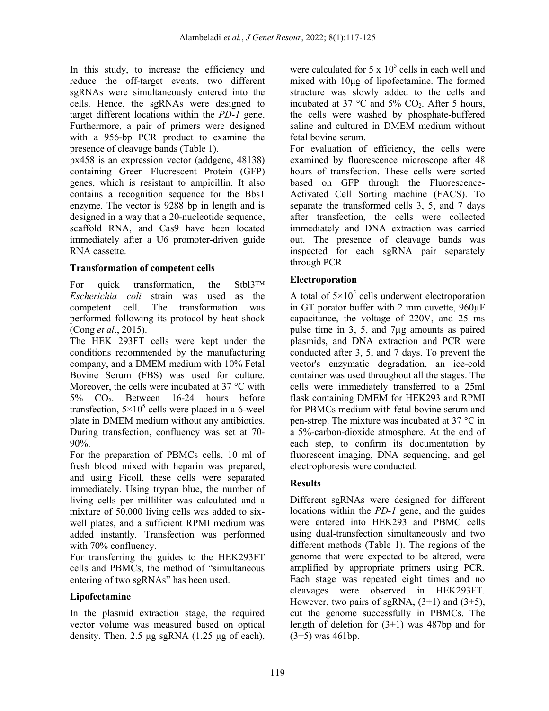In this study, to increase the efficiency and reduce the off-target events, two different sgRNAs were simultaneously entered into the cells. Hence, the sgRNAs were designed to target different locations within the *PD-1* gene. Furthermore, a pair of primers were designed with a 956-bp PCR product to examine the presence of cleavage bands (Table 1).

px458 is an expression vector (addgene, 48138) containing Green Fluorescent Protein (GFP) genes, which is resistant to ampicillin. It also contains a recognition sequence for the Bbs1 enzyme. The vector is 9288 bp in length and is designed in a way that a 20-nucleotide sequence, scaffold RNA, and Cas9 have been located immediately after a U6 promoter-driven guide RNA cassette.

## **Transformation of competent cells**

For quick transformation, the Stbl3™ *Escherichia coli* strain was used as the competent cell. The transformation was performed following its protocol by heat shock (Cong *et al*., 2015).

The HEK 293FT cells were kept under the conditions recommended by the manufacturing company, and a DMEM medium with 10% Fetal Bovine Serum (FBS) was used for culture. Moreover, the cells were incubated at 37 °C with 5% CO2. Between 16-24 hours before transfection,  $5\times10^5$  cells were placed in a 6-weel plate in DMEM medium without any antibiotics. During transfection, confluency was set at 70- 90%.

For the preparation of PBMCs cells, 10 ml of fresh blood mixed with heparin was prepared, and using Ficoll, these cells were separated immediately. Using trypan blue, the number of living cells per milliliter was calculated and a mixture of 50,000 living cells was added to sixwell plates, and a sufficient RPMI medium was added instantly. Transfection was performed with 70% confluency.

For transferring the guides to the HEK293FT cells and PBMCs, the method of "simultaneous entering of two sgRNAs" has been used.

# **Lipofectamine**

In the plasmid extraction stage, the required vector volume was measured based on optical density. Then, 2.5 μg sgRNA (1.25 μg of each),

were calculated for 5 x  $10^5$  cells in each well and mixed with 10μg of lipofectamine. The formed structure was slowly added to the cells and incubated at 37  $\degree$ C and 5% CO<sub>2</sub>. After 5 hours, the cells were washed by phosphate-buffered saline and cultured in DMEM medium without fetal bovine serum.

For evaluation of efficiency, the cells were examined by fluorescence microscope after 48 hours of transfection. These cells were sorted based on GFP through the Fluorescence-Activated Cell Sorting machine (FACS). To separate the transformed cells 3, 5, and 7 days after transfection, the cells were collected immediately and DNA extraction was carried out. The presence of cleavage bands was inspected for each sgRNA pair separately through PCR

# **Electroporation**

A total of  $5\times10^5$  cells underwent electroporation in GT porator buffer with 2 mm cuvette, 960µF capacitance, the voltage of 220V, and 25 ms pulse time in 3, 5, and 7µg amounts as paired plasmids, and DNA extraction and PCR were conducted after 3, 5, and 7 days. To prevent the vector's enzymatic degradation, an ice-cold container was used throughout all the stages. The cells were immediately transferred to a 25ml flask containing DMEM for HEK293 and RPMI for PBMCs medium with fetal bovine serum and pen-strep. The mixture was incubated at 37 °C in a 5%-carbon-dioxide atmosphere. At the end of each step, to confirm its documentation by fluorescent imaging, DNA sequencing, and gel electrophoresis were conducted.

# **Results**

Different sgRNAs were designed for different locations within the *PD-1* gene, and the guides were entered into HEK293 and PBMC cells using dual-transfection simultaneously and two different methods (Table 1). The regions of the genome that were expected to be altered, were amplified by appropriate primers using PCR. Each stage was repeated eight times and no cleavages were observed in HEK293FT. However, two pairs of sgRNA,  $(3+1)$  and  $(3+5)$ , cut the genome successfully in PBMCs. The length of deletion for (3+1) was 487bp and for  $(3+5)$  was 461bp.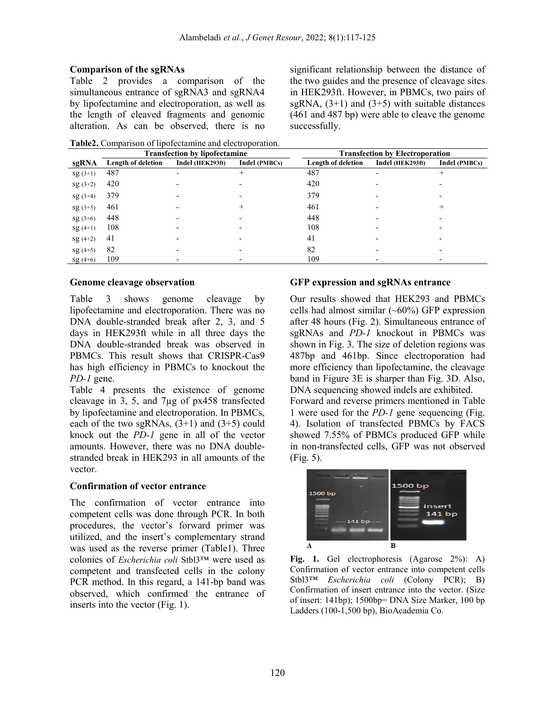#### **Comparison of the sgRNAs**

Table 2 provides a comparison of the simultaneous entrance of sgRNA3 and sgRNA4 by lipofectamine and electroporation, as well as the length of cleaved fragments and genomic alteration. As can be observed, there is no

significant relationship between the distance of the two guides and the presence of cleavage sites in HEK293ft. However, in PBMCs, two pairs of sgRNA,  $(3+1)$  and  $(3+5)$  with suitable distances (461 and 487 bp) were able to cleave the genome successfully.

**Table2.** Comparison of lipofectamine and electroporation.

|           |                    | <b>Transfection by lipofectamine</b> | <b>Transfection by Electroporation</b> |                    |                  |               |  |
|-----------|--------------------|--------------------------------------|----------------------------------------|--------------------|------------------|---------------|--|
| sgRNA     | Length of deletion | Indel (HEK293ft)                     | Indel (PMBCs)                          | Length of deletion | Indel (HEK293ft) | Indel (PMBCs) |  |
| $sg(3+1)$ | 487                |                                      |                                        | 487                |                  | ┿             |  |
| $sg(3+2)$ | 420                |                                      |                                        | 420                |                  |               |  |
| $sg(3+4)$ | 379                |                                      |                                        | 379                |                  |               |  |
| $sg(3+5)$ | 461                |                                      |                                        | 461                |                  | ┿             |  |
| $sg(3+6)$ | 448                |                                      |                                        | 448                |                  |               |  |
| $sg(4+1)$ | 108                |                                      |                                        | 108                |                  |               |  |
| $sg(4+2)$ | 41                 |                                      |                                        | 41                 |                  |               |  |
| $sg(4+5)$ | 82                 |                                      |                                        | 82                 |                  |               |  |
| $sg(4+6)$ | 109                |                                      |                                        | 109                |                  |               |  |

#### **Genome cleavage observation**

Table 3 shows genome cleavage by lipofectamine and electroporation. There was no DNA double-stranded break after 2, 3, and 5 days in HEK293ft while in all three days the DNA double-stranded break was observed in PBMCs. This result shows that CRISPR-Cas9 has high efficiency in PBMCs to knockout the *PD-1* gene.

Table 4 presents the existence of genome cleavage in 3, 5, and 7µg of px458 transfected by lipofectamine and electroporation. In PBMCs, each of the two sgRNAs,  $(3+1)$  and  $(3+5)$  could knock out the *PD-1* gene in all of the vector amounts. However, there was no DNA doublestranded break in HEK293 in all amounts of the vector.

#### **Confirmation of vector entrance**

The confirmation of vector entrance into competent cells was done through PCR. In both procedures, the vector's forward primer was utilized, and the insert's complementary strand was used as the reverse primer (Table1). Three colonies of *Escherichia coli* Stbl3™ were used as competent and transfected cells in the colony PCR method. In this regard, a 141-bp band was observed, which confirmed the entrance of inserts into the vector (Fig. 1).

### **GFP expression and sgRNAs entrance**

Our results showed that HEK293 and PBMCs cells had almost similar  $(\sim 60\%)$  GFP expression after 48 hours (Fig. 2). Simultaneous entrance of sgRNAs and *PD-1* knockout in PBMCs was shown in Fig. 3. The size of deletion regions was 487bp and 461bp. Since electroporation had more efficiency than lipofectamine, the cleavage band in Figure 3E is sharper than Fig. 3D. Also, DNA sequencing showed indels are exhibited. Forward and reverse primers mentioned in Table 1 were used for the *PD-1* gene sequencing (Fig. 4). Isolation of transfected PBMCs by FACS showed 7.55% of PBMCs produced GFP while in non-transfected cells, GFP was not observed (Fig. 5).



Fig. 1. Gel electrophoresis (Agarose 2%): A) Confirmation of vector entrance into competent cells Stbl3™ *Escherichia coli* (Colony PCR); B) Confirmation of insert entrance into the vector. (Size of insert: 141bp); 1500bp= DNA Size Marker, 100 bp Ladders (100-1,500 bp), BioAcademia Co.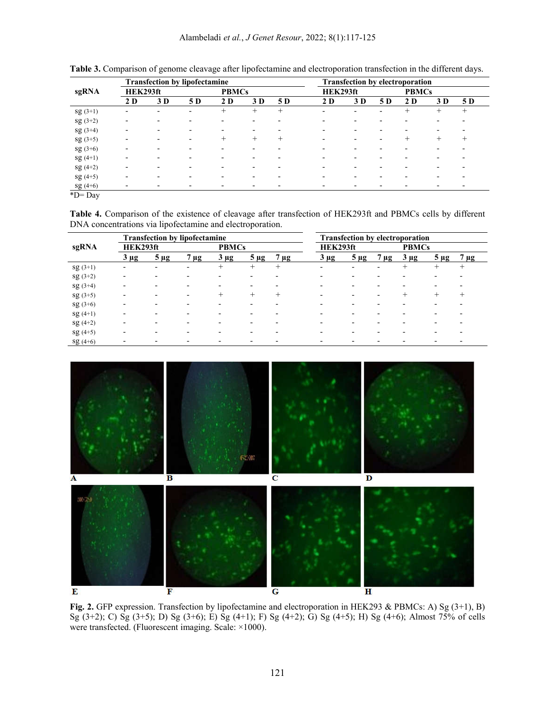|                           | <b>Transfection by lipofectamine</b> |     |                          |        |              |        | <b>Transfection by electroporation</b> |          |                          |        |                          |        |  |
|---------------------------|--------------------------------------|-----|--------------------------|--------|--------------|--------|----------------------------------------|----------|--------------------------|--------|--------------------------|--------|--|
| sgRNA                     | HEK293ft                             |     |                          |        | <b>PBMCs</b> |        |                                        | HEK293ft |                          |        | <b>PBMCs</b>             |        |  |
|                           | 2 D                                  | 3 D | 5 D                      | 2 D    | 3 D          | 5 D    | 2 D                                    | 3 D      | 5 D                      | 2 D    | 3 D                      | 5 D    |  |
| $sg(3+1)$                 |                                      |     | -                        | $^+$   | $^+$         | $^{+}$ |                                        |          | $\overline{\phantom{0}}$ | $^+$   | $^+$                     | $^{+}$ |  |
| $sg(3+2)$                 |                                      |     | $\blacksquare$           |        |              |        |                                        |          | $\overline{\phantom{0}}$ |        | -                        |        |  |
| $sg(3+4)$                 |                                      |     |                          |        |              |        |                                        |          |                          |        | -                        |        |  |
| $sg(3+5)$                 |                                      |     | $\overline{\phantom{0}}$ | $^{+}$ | $^{+}$       | $^{+}$ |                                        |          | $\overline{\phantom{0}}$ | $^{+}$ | $^{+}$                   | $^{+}$ |  |
| $sg(3+6)$                 |                                      |     | $\overline{\phantom{0}}$ |        |              |        |                                        |          |                          |        | $\overline{\phantom{0}}$ |        |  |
| $sg(4+1)$                 |                                      |     | $\overline{\phantom{a}}$ |        |              |        |                                        |          |                          |        | $\overline{\phantom{0}}$ |        |  |
| $sg(4+2)$                 |                                      |     | $\overline{\phantom{0}}$ |        |              |        |                                        |          |                          |        | $\overline{\phantom{0}}$ |        |  |
| $sg(4+5)$                 |                                      |     | $\overline{\phantom{a}}$ |        |              |        |                                        |          |                          |        | $\overline{\phantom{0}}$ |        |  |
| $sg(4+6)$<br>$1.77$ $7.7$ |                                      |     | $\overline{\phantom{a}}$ |        |              |        |                                        |          |                          |        | $\overline{\phantom{0}}$ |        |  |

**Table 3.** Comparison of genome cleavage after lipofectamine and electroporation transfection in the different days.

\*D= Day

**Table 4.** Comparison of the existence of cleavage after transfection of HEK293ft and PBMCs cells by different DNA concentrations via lipofectamine and electroporation.

|           | <b>Transfection by lipofectamine</b> |           |                          |              |                          |           | <b>Transfection by electroporation</b> |                          |                          |              |                          |           |
|-----------|--------------------------------------|-----------|--------------------------|--------------|--------------------------|-----------|----------------------------------------|--------------------------|--------------------------|--------------|--------------------------|-----------|
| sgRNA     | HEK293ft                             |           |                          | <b>PBMCs</b> |                          |           | HEK293ft                               |                          |                          | <b>PBMCs</b> |                          |           |
|           | $3 \mu g$                            | $5 \mu g$ | $\mu$ g                  | $3 \mu g$    | $5 \mu$ g                | $7 \mu g$ | $3 \mu g$                              | $5 \mu g$                | $7 \mu$ g                | $3 \mu g$    | $5 \mu$ g                | $7 \mu$ g |
| $sg(3+1)$ |                                      |           | $\overline{\phantom{0}}$ | $^{+}$       | $^{+}$                   | $^{+}$    | $\overline{a}$                         | $\overline{\phantom{0}}$ | $\overline{\phantom{0}}$ | $^{+}$       | $^{+}$                   | $^+$      |
| $sg(3+2)$ |                                      |           |                          |              |                          |           |                                        |                          |                          |              |                          |           |
| $sg(3+4)$ |                                      |           | -                        |              |                          |           |                                        |                          |                          |              |                          |           |
| $sg(3+5)$ |                                      |           | $\overline{\phantom{0}}$ |              |                          |           |                                        |                          |                          |              |                          |           |
| $sg(3+6)$ |                                      |           |                          |              |                          |           |                                        |                          |                          |              |                          |           |
| $sg(4+1)$ |                                      |           |                          |              |                          |           |                                        |                          |                          |              |                          |           |
| $sg(4+2)$ |                                      |           |                          |              |                          |           |                                        |                          |                          |              |                          |           |
| $sg(4+5)$ |                                      |           |                          |              |                          |           |                                        |                          |                          |              |                          |           |
| $sg(4+6)$ |                                      |           | $\overline{\phantom{0}}$ |              | $\overline{\phantom{a}}$ |           |                                        |                          |                          |              | $\overline{\phantom{0}}$ |           |



**Fig. 2.** GFP expression. Transfection by lipofectamine and electroporation in HEK293 & PBMCs: A) Sg (3+1), B) Sg (3+2); C) Sg (3+5); D) Sg (3+6); E) Sg (4+1); F) Sg (4+2); G) Sg (4+5); H) Sg (4+6); Almost 75% of cells were transfected. (Fluorescent imaging. Scale: ×1000).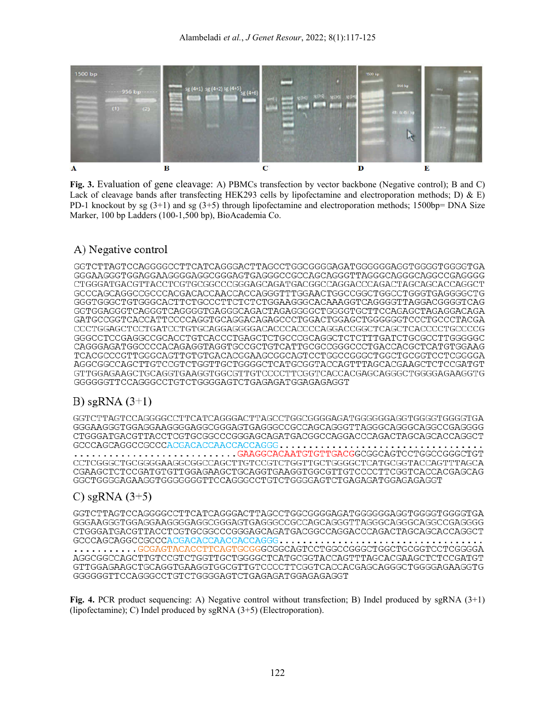

**Fig. 3.** Evaluation of gene cleavage: A) PBMCs transfection by vector backbone (Negative control); B and C) Lack of cleavage bands after transfecting HEK293 cells by lipofectamine and electroporation methods; D) & E) PD-1 knockout by sg  $(3+1)$  and sg  $(3+5)$  through lipofectamine and electroporation methods; 1500bp= DNA Size Marker, 100 bp Ladders (100-1,500 bp), BioAcademia Co.

# A) Negative control

GGGAAGGGTGGAGGAAGGGGAGGCGGGAGTGAGGGCCGCCAGCAGGGTTAGGGCAGGCCAGGCCGAGGGG CTGGGATGACGTTACCTCGTGCGGCCCGGGAGCAGATGACGGCCAGGACCCAGACTAGCAGCACCAGGCT GCCCAGCAGGCCGCCCACGACACCAACCACCAGGGTTTGGAACTGGCCGGCTGGCCTGGGTGAGGGGCTG GGGTGGGCTGTGGGCACTTCTGCCCTTCTCTCTGGAAGGGCACAAAGGTCAGGGGTTAGGACGGGGTCAG GGTGGAGGGTCAGGGTCAGGGGTGAGGGCAGACTAGAGGGGCTGGGGTGCTTCCAGAGCTAGAGGACAGA GATGCCGGTCACCATTCCCCAGGTGCAGGACAGAGCCCTGGACTGGAGCTGGGGGGTCCCTGCCCTACGA GGGCCTCCGAGGCCGCACCTGTCACCCTGAGCTCTGCCCGCAGGCTCTCTTTGATCTGCGCCTTGGGGGC CAGGGAGATGGCCCCACAGAGGTAGGTGCCGCTGTCATTGCGCCGGGCCCTGACCACGCTCATGTGGAAG AGGCGGCCAGCTTGTCCGTCTGGTTGCTGGGGCTCATGCGGTACCAGTTTAGCACGAAGCTCTCCGATGT GTTGGAGAAGCTGCAGGTGAAGGTGGCGTTGTCCCCTTCGGTCACCACGAGCAGGGCTGGGGAGAAGGTG GGGGGGTTCCAGGGCCTGTCTGGGGAGTCTGAGAGATGGAGAGAGGT

# B) sgRNA  $(3+1)$

GGGAAGGGTGGAGGAAGGGGAGGCGGGAGTGAGGGCCGCCAGCAGGGTTAGGGCAGGGCAGGCCGAGGGG CTGGGATGACGTTACCTCGTGCGGCCCGGGAGCAGATGACGGCCAGGACCCAGACTAGCAGCACCAGGCT 

........................GAAGGCACAATGTGTTGACGGCGGCAGTCCTGGCCGGGCTGT CCTCGGGCTGCGGGGAAGGCGGCCAGCTTGTCCGTCTGGTTGCTGGGGCTCATGCGGTACCAGTTTAGCA CGAAGCTCTCCGATGTGTTGGAGAAGCTGCAGGTGAAGGTGGCGTTGTCCCCTTCGGTCACCACGAGCAG GGCTGGGGAGAAGGTGGGGGGGTTCCAGGGCCTGTCTGGGGAGTCTGAGAGATGGAGAGAGGT

# C) sgRNA  $(3+5)$

GGGAAGGGTGGAGGAAGGGGAGGCGGGAGTGAGGGCCGCCAGCAGGGTTAGGGCAGGGCAGGCCGAGGGG CTGGGATGACGTTACCTCGTGCGGCCCGGGAGCAGATGACGGCCAGGACCCAGACTAGCAGCACCAGGCT  $\dots\dots\dots$  . GCGAGTACACCTTCAGTGCGGGCGGCAGTCCTGGCCGGGCTGCTGCGGTCCTCGGGGA AGGCGGCCAGCTTGTCCGTCTGGTTGCTGGGGCTCATGCGGTACCAGTTTAGCACGAAGCTCTCCGATGT GTTGGAGAAGCTGCAGGTGAAGGTGGCGTTGTCCCCTTCGGTCACCACGAGCAGGGCTGGGGAGAAGGTG GGGGGGTTCCAGGGCCTGTCTGGGGAGTCTGAGAGATGGAGAGAGGGT

**Fig. 4.** PCR product sequencing: A) Negative control without transfection; B) Indel produced by sgRNA (3+1) (lipofectamine); C) Indel produced by sgRNA (3+5) (Electroporation).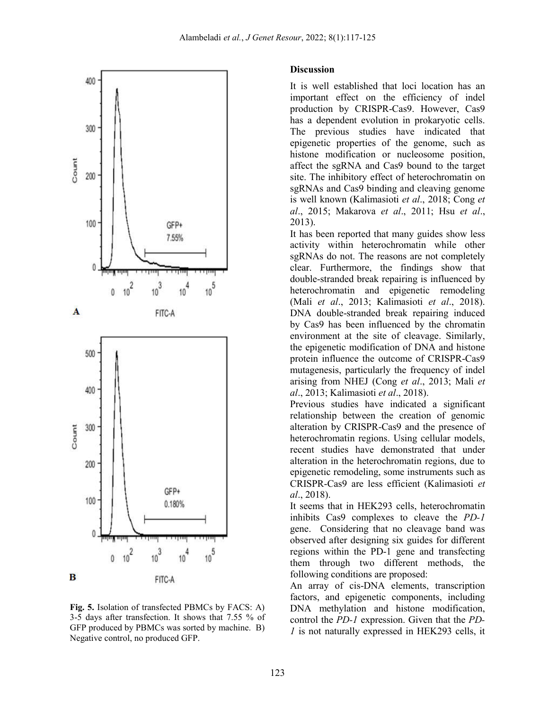

**Fig. 5.** Isolation of transfected PBMCs by FACS: A) 3-5 days after transfection. It shows that 7.55 % of GFP produced by PBMCs was sorted by machine. B) Negative control, no produced GFP.

#### **Discussion**

It is well established that loci location has an important effect on the efficiency of indel production by CRISPR-Cas9. However, Cas9 has a dependent evolution in prokaryotic cells. The previous studies have indicated that epigenetic properties of the genome, such as histone modification or nucleosome position, affect the sgRNA and Cas9 bound to the target site. The inhibitory effect of heterochromatin on sgRNAs and Cas9 binding and cleaving genome is well known (Kalimasioti *et al*., 2018; Cong *et al*., 2015; Makarova *et al*., 2011; Hsu *et al*., 2013).

It has been reported that many guides show less activity within heterochromatin while other sgRNAs do not. The reasons are not completely clear. Furthermore, the findings show that double-stranded break repairing is influenced by heterochromatin and epigenetic remodeling (Mali *et al*., 2013; Kalimasioti *et al*., 2018). DNA double-stranded break repairing induced by Cas9 has been influenced by the chromatin environment at the site of cleavage. Similarly, the epigenetic modification of DNA and histone protein influence the outcome of CRISPR-Cas9 mutagenesis, particularly the frequency of indel arising from NHEJ (Cong *et al*., 2013; Mali *et al*., 2013; Kalimasioti *et al*., 2018).

Previous studies have indicated a significant relationship between the creation of genomic alteration by CRISPR-Cas9 and the presence of heterochromatin regions. Using cellular models, recent studies have demonstrated that under alteration in the heterochromatin regions, due to epigenetic remodeling, some instruments such as CRISPR-Cas9 are less efficient (Kalimasioti *et al*., 2018).

It seems that in HEK293 cells, heterochromatin inhibits Cas9 complexes to cleave the *PD-1* gene. Considering that no cleavage band was observed after designing six guides for different regions within the PD-1 gene and transfecting them through two different methods, the following conditions are proposed:

An array of cis-DNA elements, transcription factors, and epigenetic components, including DNA methylation and histone modification, control the *PD-1* expression. Given that the *PD-1* is not naturally expressed in HEK293 cells, it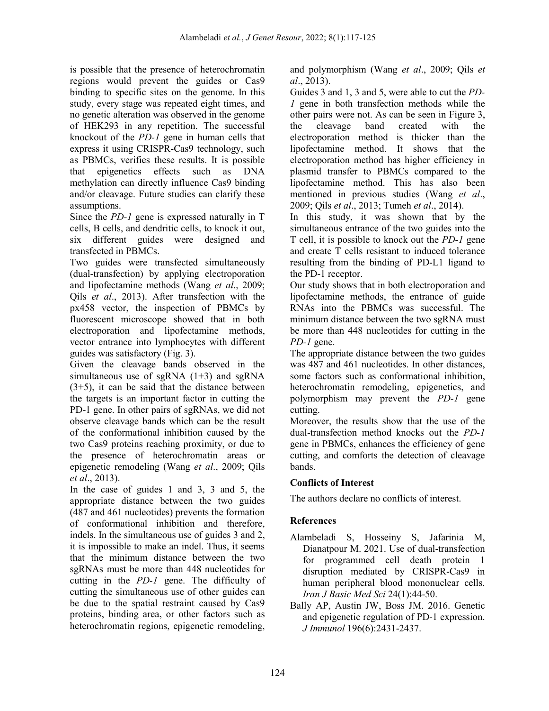is possible that the presence of heterochromatin regions would prevent the guides or Cas9 binding to specific sites on the genome. In this study, every stage was repeated eight times, and no genetic alteration was observed in the genome of HEK293 in any repetition. The successful knockout of the *PD-1* gene in human cells that express it using CRISPR-Cas9 technology, such as PBMCs, verifies these results. It is possible that epigenetics effects such as DNA methylation can directly influence Cas9 binding and/or cleavage. Future studies can clarify these assumptions.

Since the *PD-1* gene is expressed naturally in T cells, B cells, and dendritic cells, to knock it out, six different guides were designed and transfected in PBMCs.

Two guides were transfected simultaneously (dual-transfection) by applying electroporation and lipofectamine methods (Wang *et al*., 2009; Qils *et al*., 2013). After transfection with the px458 vector, the inspection of PBMCs by fluorescent microscope showed that in both electroporation and lipofectamine methods, vector entrance into lymphocytes with different guides was satisfactory (Fig. 3).

Given the cleavage bands observed in the simultaneous use of sgRNA  $(1+3)$  and sgRNA (3+5), it can be said that the distance between the targets is an important factor in cutting the PD-1 gene. In other pairs of sgRNAs, we did not observe cleavage bands which can be the result of the conformational inhibition caused by the two Cas9 proteins reaching proximity, or due to the presence of heterochromatin areas or epigenetic remodeling (Wang *et al*., 2009; Qils *et al*., 2013).

In the case of guides 1 and 3, 3 and 5, the appropriate distance between the two guides (487 and 461 nucleotides) prevents the formation of conformational inhibition and therefore, indels. In the simultaneous use of guides 3 and 2, it is impossible to make an indel. Thus, it seems that the minimum distance between the two sgRNAs must be more than 448 nucleotides for cutting in the *PD-1* gene. The difficulty of cutting the simultaneous use of other guides can be due to the spatial restraint caused by Cas9 proteins, binding area, or other factors such as heterochromatin regions, epigenetic remodeling,

and polymorphism (Wang *et al*., 2009; Qils *et al*., 2013).

Guides 3 and 1, 3 and 5, were able to cut the *PD-1* gene in both transfection methods while the other pairs were not. As can be seen in Figure 3, the cleavage band created with the electroporation method is thicker than the lipofectamine method. It shows that the electroporation method has higher efficiency in plasmid transfer to PBMCs compared to the lipofectamine method. This has also been mentioned in previous studies (Wang *et al*., 2009; Qils *et al*., 2013; Tumeh *et al*., 2014).

In this study, it was shown that by the simultaneous entrance of the two guides into the T cell, it is possible to knock out the *PD-1* gene and create T cells resistant to induced tolerance resulting from the binding of PD-L1 ligand to the PD-1 receptor.

Our study shows that in both electroporation and lipofectamine methods, the entrance of guide RNAs into the PBMCs was successful. The minimum distance between the two sgRNA must be more than 448 nucleotides for cutting in the *PD-1* gene.

The appropriate distance between the two guides was 487 and 461 nucleotides. In other distances, some factors such as conformational inhibition, heterochromatin remodeling, epigenetics, and polymorphism may prevent the *PD-1* gene cutting.

Moreover, the results show that the use of the dual-transfection method knocks out the *PD-1* gene in PBMCs, enhances the efficiency of gene cutting, and comforts the detection of cleavage bands.

## **Conflicts of Interest**

The authors declare no conflicts of interest.

## **References**

- Alambeladi S, Hosseiny S, Jafarinia M, Dianatpour M. 2021. Use of dual-transfection for programmed cell death protein 1 disruption mediated by CRISPR-Cas9 in human peripheral blood mononuclear cells. *Iran J Basic Med Sci* 24(1):44-50.
- Bally AP, Austin JW, Boss JM. 2016. Genetic and epigenetic regulation of PD-1 expression. *J Immunol* 196(6):2431-2437.